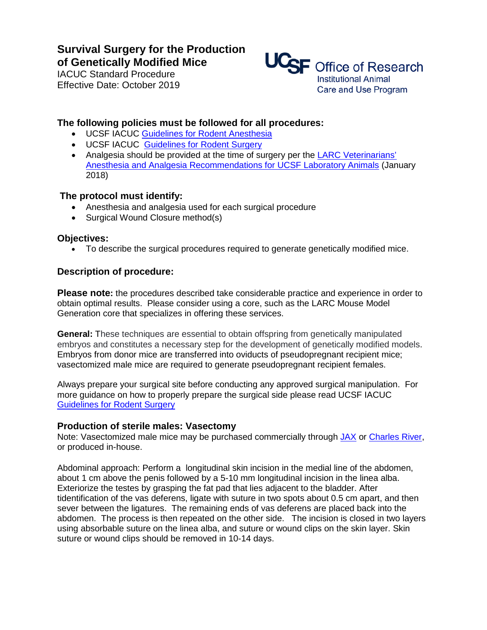# **Survival Surgery for the Production of Genetically Modified Mice**

IACUC Standard Procedure Effective Date: October 2019



## **The following policies must be followed for all procedures:**

- UCSF IACUC Guidelines for Rodent Anesthesia
- UCSF IACUC [Guidelines for Rodent Surgery](http://www.research.ucsf.edu/aw/Policies/awGlSrvSurgR.asp)
- Analgesia should be provided at the time of surgery per the LARC Veterinarians' [Anesthesia and Analgesia Recommendations for UCSF Laboratory Animals](https://larc.ucsf.edu/sites/larc.ucsf.edu/files/wysiwyg/LARC%20Veterinarians%E2%80%99%20Anesthesia%20and%20Analgesia%20Recommendations.pdf) (January 2018)

### **The protocol must identify:**

- Anesthesia and analgesia used for each surgical procedure
- Surgical Wound Closure method(s)

#### **Objectives:**

• To describe the surgical procedures required to generate genetically modified mice.

#### **Description of procedure:**

**Please note:** the procedures described take considerable practice and experience in order to obtain optimal results. Please consider using a core, such as the LARC Mouse Model Generation core that specializes in offering these services.

**General:** These techniques are essential to obtain offspring from genetically manipulated embryos and constitutes a necessary step for the development of genetically modified models. Embryos from donor mice are transferred into oviducts of pseudopregnant recipient mice; vasectomized male mice are required to generate pseudopregnant recipient females.

Always prepare your surgical site before conducting any approved surgical manipulation. For more guidance on how to properly prepare the surgical side please read UCSF IACUC [Guidelines for Rodent Surgery](http://www.research.ucsf.edu/aw/Policies/awGlSrvSurgR.asp)

#### **Production of sterile males: Vasectomy**

Note: Vasectomized male mice may be purchased commercially through [JAX](https://www.jax.org/jax-mice-and-services/find-and-order-jax-mice/surgical-and-preconditioning-services/surgical-service-for-jax-mice) or [Charles River,](https://www.criver.com/products-services/research-models-services/preconditioning-services/rodent-surgery?region=3601) or produced in-house.

Abdominal approach: Perform a longitudinal skin incision in the medial line of the abdomen, about 1 cm above the penis followed by a 5-10 mm longitudinal incision in the linea alba. Exteriorize the testes by grasping the fat pad that lies adjacent to the bladder. After tidentification of the vas deferens, ligate with suture in two spots about 0.5 cm apart, and then sever between the ligatures. The remaining ends of vas deferens are placed back into the abdomen. The process is then repeated on the other side. The incision is closed in two layers using absorbable suture on the linea alba, and suture or wound clips on the skin layer. Skin suture or wound clips should be removed in 10-14 days.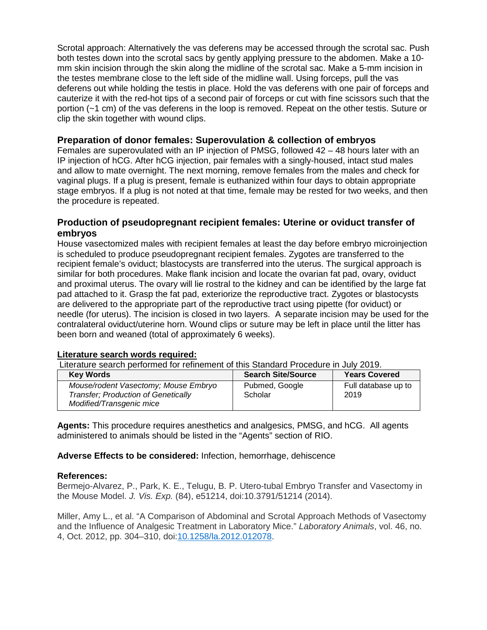Scrotal approach: Alternatively the vas deferens may be accessed through the scrotal sac. Push both testes down into the scrotal sacs by gently applying pressure to the abdomen. Make a 10 mm skin incision through the skin along the midline of the scrotal sac. Make a 5-mm incision in the testes membrane close to the left side of the midline wall. Using forceps, pull the vas deferens out while holding the testis in place. Hold the vas deferens with one pair of forceps and cauterize it with the red-hot tips of a second pair of forceps or cut with fine scissors such that the portion (~1 cm) of the vas deferens in the loop is removed. Repeat on the other testis. Suture or clip the skin together with wound clips.

## **Preparation of donor females: Superovulation & collection of embryos**

Females are superovulated with an IP injection of PMSG, followed 42 – 48 hours later with an IP injection of hCG. After hCG injection, pair females with a singly-housed, intact stud males and allow to mate overnight. The next morning, remove females from the males and check for vaginal plugs. If a plug is present, female is euthanized within four days to obtain appropriate stage embryos. If a plug is not noted at that time, female may be rested for two weeks, and then the procedure is repeated.

### **Production of pseudopregnant recipient females: Uterine or oviduct transfer of embryos**

House vasectomized males with recipient females at least the day before embryo microinjection is scheduled to produce pseudopregnant recipient females. Zygotes are transferred to the recipient female's oviduct; blastocysts are transferred into the uterus. The surgical approach is similar for both procedures. Make flank incision and locate the ovarian fat pad, ovary, oviduct and proximal uterus. The ovary will lie rostral to the kidney and can be identified by the large fat pad attached to it. Grasp the fat pad, exteriorize the reproductive tract. Zygotes or blastocysts are delivered to the appropriate part of the reproductive tract using pipette (for oviduct) or needle (for uterus). The incision is closed in two layers. A separate incision may be used for the contralateral oviduct/uterine horn. Wound clips or suture may be left in place until the litter has been born and weaned (total of approximately 6 weeks).

#### **Literature search words required:**

Literature search performed for refinement of this Standard Procedure in July 2019.

| <b>Key Words</b>                                                                                               | <b>Search Site/Source</b> | <b>Years Covered</b>        |
|----------------------------------------------------------------------------------------------------------------|---------------------------|-----------------------------|
| Mouse/rodent Vasectomy; Mouse Embryo<br><b>Transfer: Production of Genetically</b><br>Modified/Transgenic mice | Pubmed, Google<br>Scholar | Full database up to<br>2019 |

**Agents:** This procedure requires anesthetics and analgesics, PMSG, and hCG. All agents administered to animals should be listed in the "Agents" section of RIO.

**Adverse Effects to be considered:** Infection, hemorrhage, dehiscence

#### **References:**

Bermejo-Alvarez, P., Park, K. E., Telugu, B. P. Utero-tubal Embryo Transfer and Vasectomy in the Mouse Model. *J. Vis. Exp.* (84), e51214, doi:10.3791/51214 (2014).

Miller, Amy L., et al. "A Comparison of Abdominal and Scrotal Approach Methods of Vasectomy and the Influence of Analgesic Treatment in Laboratory Mice." *Laboratory Animals*, vol. 46, no. 4, Oct. 2012, pp. 304–310, doi[:10.1258/la.2012.012078.](https://doi.org/10.1258/la.2012.012078)